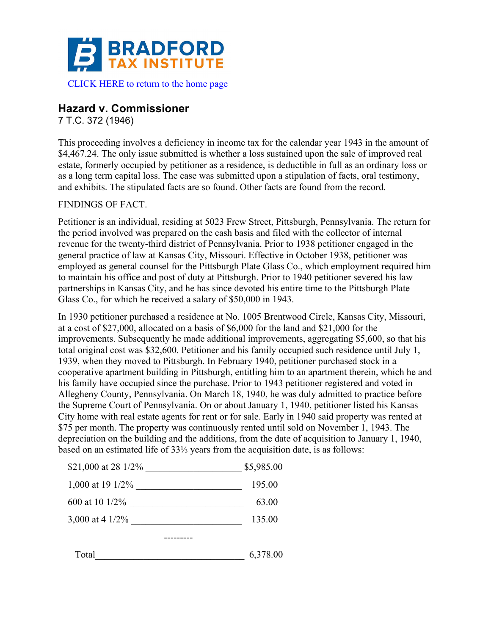

## **Hazard v. Commissioner**

7 T.C. 372 (1946)

This proceeding involves a deficiency in income tax for the calendar year 1943 in the amount of \$4,467.24. The only issue submitted is whether a loss sustained upon the sale of improved real estate, formerly occupied by petitioner as a residence, is deductible in full as an ordinary loss or as a long term capital loss. The case was submitted upon a stipulation of facts, oral testimony, and exhibits. The stipulated facts are so found. Other facts are found from the record.

## FINDINGS OF FACT.

Petitioner is an individual, residing at 5023 Frew Street, Pittsburgh, Pennsylvania. The return for the period involved was prepared on the cash basis and filed with the collector of internal revenue for the twenty-third district of Pennsylvania. Prior to 1938 petitioner engaged in the general practice of law at Kansas City, Missouri. Effective in October 1938, petitioner was employed as general counsel for the Pittsburgh Plate Glass Co., which employment required him to maintain his office and post of duty at Pittsburgh. Prior to 1940 petitioner severed his law partnerships in Kansas City, and he has since devoted his entire time to the Pittsburgh Plate Glass Co., for which he received a salary of \$50,000 in 1943.

In 1930 petitioner purchased a residence at No. 1005 Brentwood Circle, Kansas City, Missouri, at a cost of \$27,000, allocated on a basis of \$6,000 for the land and \$21,000 for the improvements. Subsequently he made additional improvements, aggregating \$5,600, so that his total original cost was \$32,600. Petitioner and his family occupied such residence until July 1, 1939, when they moved to Pittsburgh. In February 1940, petitioner purchased stock in a cooperative apartment building in Pittsburgh, entitling him to an apartment therein, which he and his family have occupied since the purchase. Prior to 1943 petitioner registered and voted in Allegheny County, Pennsylvania. On March 18, 1940, he was duly admitted to practice before the Supreme Court of Pennsylvania. On or about January 1, 1940, petitioner listed his Kansas City home with real estate agents for rent or for sale. Early in 1940 said property was rented at \$75 per month. The property was continuously rented until sold on November 1, 1943. The depreciation on the building and the additions, from the date of acquisition to January 1, 1940, based on an estimated life of 33⅓ years from the acquisition date, is as follows:

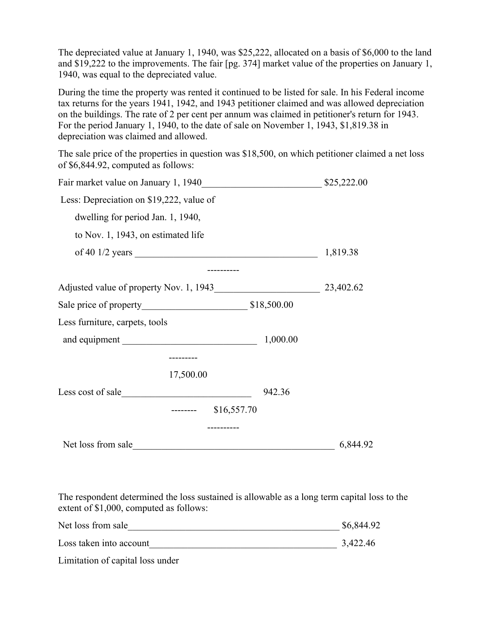The depreciated value at January 1, 1940, was \$25,222, allocated on a basis of \$6,000 to the land and \$19,222 to the improvements. The fair [pg. 374] market value of the properties on January 1, 1940, was equal to the depreciated value.

During the time the property was rented it continued to be listed for sale. In his Federal income tax returns for the years 1941, 1942, and 1943 petitioner claimed and was allowed depreciation on the buildings. The rate of 2 per cent per annum was claimed in petitioner's return for 1943. For the period January 1, 1940, to the date of sale on November 1, 1943, \$1,819.38 in depreciation was claimed and allowed.

The sale price of the properties in question was \$18,500, on which petitioner claimed a net loss of \$6,844.92, computed as follows:

| Fair market value on January 1, 1940     |           |             | \$25,222.00 |
|------------------------------------------|-----------|-------------|-------------|
| Less: Depreciation on \$19,222, value of |           |             |             |
| dwelling for period Jan. 1, 1940,        |           |             |             |
| to Nov. 1, 1943, on estimated life       |           |             |             |
|                                          |           |             | 1,819.38    |
|                                          |           |             |             |
| Adjusted value of property Nov. 1, 1943  |           |             | 23,402.62   |
|                                          |           |             |             |
| Less furniture, carpets, tools           |           |             |             |
| and equipment                            |           | 1,000.00    |             |
|                                          |           |             |             |
|                                          | 17,500.00 |             |             |
| Less cost of sale                        |           | 942.36      |             |
|                                          |           | \$16,557.70 |             |
|                                          |           |             |             |
| Net loss from sale                       |           |             | 6,844.92    |

The respondent determined the loss sustained is allowable as a long term capital loss to the extent of \$1,000, computed as follows:

| Net loss from sale      | \$6,844.92 |
|-------------------------|------------|
| Loss taken into account | 3,422.46   |

Limitation of capital loss under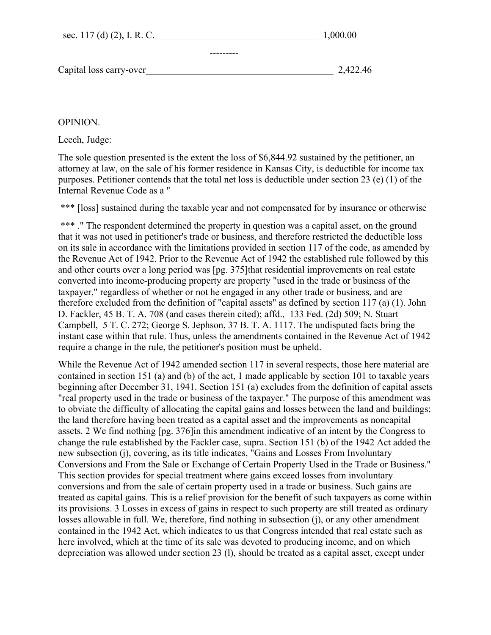| sec. 117 (d) (2), I. R. C. | 1,000.00 |
|----------------------------|----------|
|                            |          |
| Capital loss carry-over    | 2,422.46 |

## OPINION.

Leech, Judge:

The sole question presented is the extent the loss of \$6,844.92 sustained by the petitioner, an attorney at law, on the sale of his former residence in Kansas City, is deductible for income tax purposes. Petitioner contends that the total net loss is deductible under section 23 (e) (1) of the Internal Revenue Code as a "

\*\*\* [loss] sustained during the taxable year and not compensated for by insurance or otherwise

\*\*\*. " The respondent determined the property in question was a capital asset, on the ground that it was not used in petitioner's trade or business, and therefore restricted the deductible loss on its sale in accordance with the limitations provided in section 117 of the code, as amended by the Revenue Act of 1942. Prior to the Revenue Act of 1942 the established rule followed by this and other courts over a long period was [pg. 375]that residential improvements on real estate converted into income-producing property are property "used in the trade or business of the taxpayer," regardless of whether or not he engaged in any other trade or business, and are therefore excluded from the definition of "capital assets" as defined by section 117 (a) (1). John D. Fackler, 45 B. T. A. 708 (and cases therein cited); affd., 133 Fed. (2d) 509; N. Stuart Campbell, 5 T. C. 272; George S. Jephson, 37 B. T. A. 1117. The undisputed facts bring the instant case within that rule. Thus, unless the amendments contained in the Revenue Act of 1942 require a change in the rule, the petitioner's position must be upheld.

While the Revenue Act of 1942 amended section 117 in several respects, those here material are contained in section 151 (a) and (b) of the act, 1 made applicable by section 101 to taxable years beginning after December 31, 1941. Section 151 (a) excludes from the definition of capital assets "real property used in the trade or business of the taxpayer." The purpose of this amendment was to obviate the difficulty of allocating the capital gains and losses between the land and buildings; the land therefore having been treated as a capital asset and the improvements as noncapital assets. 2 We find nothing [pg. 376]in this amendment indicative of an intent by the Congress to change the rule established by the Fackler case, supra. Section 151 (b) of the 1942 Act added the new subsection (j), covering, as its title indicates, "Gains and Losses From Involuntary Conversions and From the Sale or Exchange of Certain Property Used in the Trade or Business." This section provides for special treatment where gains exceed losses from involuntary conversions and from the sale of certain property used in a trade or business. Such gains are treated as capital gains. This is a relief provision for the benefit of such taxpayers as come within its provisions. 3 Losses in excess of gains in respect to such property are still treated as ordinary losses allowable in full. We, therefore, find nothing in subsection (j), or any other amendment contained in the 1942 Act, which indicates to us that Congress intended that real estate such as here involved, which at the time of its sale was devoted to producing income, and on which depreciation was allowed under section 23 (l), should be treated as a capital asset, except under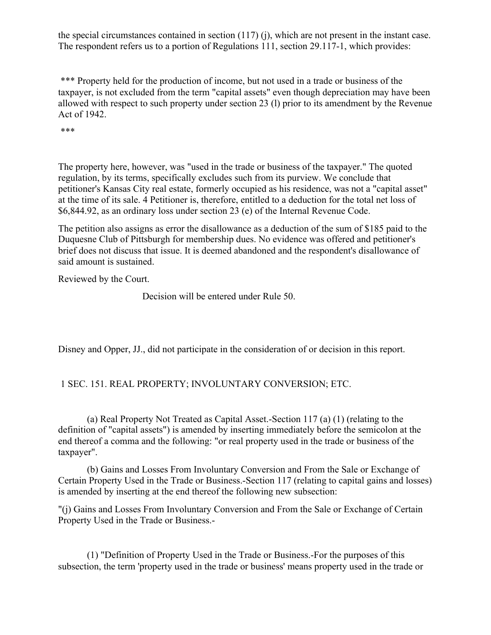the special circumstances contained in section (117) (j), which are not present in the instant case. The respondent refers us to a portion of Regulations 111, section 29.117-1, which provides:

\*\*\* Property held for the production of income, but not used in a trade or business of the taxpayer, is not excluded from the term "capital assets" even though depreciation may have been allowed with respect to such property under section 23 (l) prior to its amendment by the Revenue Act of 1942.

\*\*\*

The property here, however, was "used in the trade or business of the taxpayer." The quoted regulation, by its terms, specifically excludes such from its purview. We conclude that petitioner's Kansas City real estate, formerly occupied as his residence, was not a "capital asset" at the time of its sale. 4 Petitioner is, therefore, entitled to a deduction for the total net loss of \$6,844.92, as an ordinary loss under section 23 (e) of the Internal Revenue Code.

The petition also assigns as error the disallowance as a deduction of the sum of \$185 paid to the Duquesne Club of Pittsburgh for membership dues. No evidence was offered and petitioner's brief does not discuss that issue. It is deemed abandoned and the respondent's disallowance of said amount is sustained.

Reviewed by the Court.

Decision will be entered under Rule 50.

Disney and Opper, JJ., did not participate in the consideration of or decision in this report.

1 SEC. 151. REAL PROPERTY; INVOLUNTARY CONVERSION; ETC.

(a) Real Property Not Treated as Capital Asset.-Section 117 (a) (1) (relating to the definition of "capital assets") is amended by inserting immediately before the semicolon at the end thereof a comma and the following: "or real property used in the trade or business of the taxpayer".

(b) Gains and Losses From Involuntary Conversion and From the Sale or Exchange of Certain Property Used in the Trade or Business.-Section 117 (relating to capital gains and losses) is amended by inserting at the end thereof the following new subsection:

"(j) Gains and Losses From Involuntary Conversion and From the Sale or Exchange of Certain Property Used in the Trade or Business.-

(1) "Definition of Property Used in the Trade or Business.-For the purposes of this subsection, the term 'property used in the trade or business' means property used in the trade or